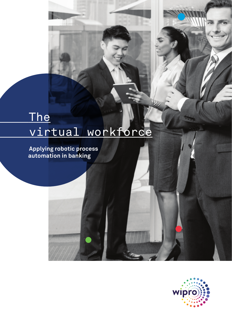# The virtual workforce

 **Applying robotic process automation in banking** 

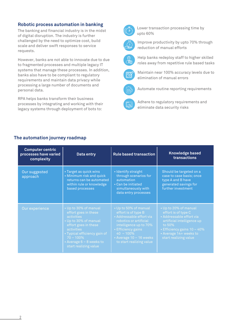## **Robotic process automation in banking**

The banking and financial industry is in the midst of digital disruption. The industry is further challenged by the need to optimize cost, build scale and deliver swift responses to service requests.

However, banks are not able to innovate due to due to fragmented processes and multiple legacy IT systems that manage these processes. In addition, banks also have to be compliant to regulatory requirements and maintain data privacy while processing a large number of documents and personal data.

RPA helps banks transform their business processes by integrating and working with their legacy systems through deployment of bots to:



Lower transaction processing time by upto 60%



Improve productivity by upto 70% through reduction of manual efforts



Help banks redeploy staff to higher skilled roles away from repetitive rule based tasks



Maintain near 100% accuracy levels due to elimination of manual errors



Automate routine reporting requirements



Adhere to regulatory requirements and eliminate data security risks

### **The automation journey roadmap**

| <b>Computer centric</b><br>processes have varied<br>complexity | Data entry                                                                                                                                                                                                                        | <b>Rule based transaction</b>                                                                                                                                                                                               | <b>Knowledge based</b><br>transactions                                                                                                                                                                |
|----------------------------------------------------------------|-----------------------------------------------------------------------------------------------------------------------------------------------------------------------------------------------------------------------------------|-----------------------------------------------------------------------------------------------------------------------------------------------------------------------------------------------------------------------------|-------------------------------------------------------------------------------------------------------------------------------------------------------------------------------------------------------|
| Our suggested<br>approach                                      | • Target as quick wins<br>• Minimum risk and quick<br>returns can be automated<br>within rule or knowledge<br>based processes                                                                                                     | • Identify straight<br>through scenarios for<br>automation<br>• Can be initiated<br>simultaneously with<br>data entry processes                                                                                             | Should be targeted on a<br>case to case basis; once<br>type A and B have<br>generated savings for<br>further investment                                                                               |
| Our experience                                                 | • Up to 30% of manual<br>effort goes in these<br>activities<br>• Up to 30% of manual<br>effort goes in these<br>activities<br>• Typical efficiency gain of<br>$70 - 100\%$<br>• Average $6 - 8$ weeks to<br>start realizing value | • Up to 50% of manual<br>effort is of type B<br>• Addressable effort via<br>robotics or artificial<br>intelligence up to 70%<br>• Efficiency gains<br>$40 - 100\%$<br>• Average $10 - 16$ weeks<br>to start realizing value | • Up to 20% of manual<br>effort is of type C<br>• Addressable effort via<br>artificial intelligence up<br>to $50\%$<br>• Efficiency gains 10 - 40%<br>· Average 14+ weeks to<br>start realizing value |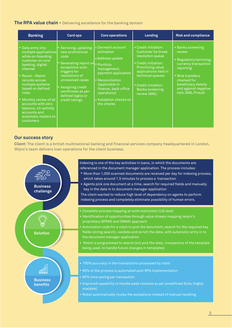### **The RPA value chain -** Delivering excellence for the banking domain

| <b>Banking</b>                                                                                                                                                                                                                                                                                                                      | Card ops                                                                                                                                                                                                                        | <b>Core operations</b>                                                                                                                                                                                                    | Lending                                                                                                                                                                                                                    | <b>Risk and compliance</b>                                                                                                                                                                              |
|-------------------------------------------------------------------------------------------------------------------------------------------------------------------------------------------------------------------------------------------------------------------------------------------------------------------------------------|---------------------------------------------------------------------------------------------------------------------------------------------------------------------------------------------------------------------------------|---------------------------------------------------------------------------------------------------------------------------------------------------------------------------------------------------------------------------|----------------------------------------------------------------------------------------------------------------------------------------------------------------------------------------------------------------------------|---------------------------------------------------------------------------------------------------------------------------------------------------------------------------------------------------------|
| Data entry into<br>multiple applications<br>while on-boarding<br>customer on core<br>banking, digital<br>channel<br>Recon - Match<br>records across<br>multiple systems<br>based on defined<br>rules<br>. Monthly review of all<br>accounts with zero<br>balance, nil-activity<br>accounts and<br>automatic mailers to<br>customers | Servicing, updating<br>new promotional<br>code<br>Generating report on<br>exceptions-auto<br>triggers for<br>resolutions of<br>unresolved cases<br>Assigning credit<br>worthiness as per<br>defined logics or<br>credit ratings | • Dormant account<br>activation<br>Address update<br>· Portfolio<br>management,<br>payment application<br>Reconciliation<br>(applicable in<br>finance, back office<br>operations)<br>• Validation checks on<br>the checks | • Credit initiation:<br>Customer tie break<br>resolution queue<br>• Credit initiation:<br>Prioritizing value<br>applications held in<br>technical queues<br>" Credit initiation:<br><b>Banks screening</b><br>review (AML) | • Banks screening<br>review<br>• Regulatory/servicing,<br>currency transaction<br>reporting<br><b>Wire transfers</b><br>checked for<br>beneficiary details<br>and against negative<br>lists (AML/Fraud) |

#### **Our success story**

**Client:** The client is a british multinational banking and financial services company headquartered in London. Wipro's team delivers loan operations for the client business.